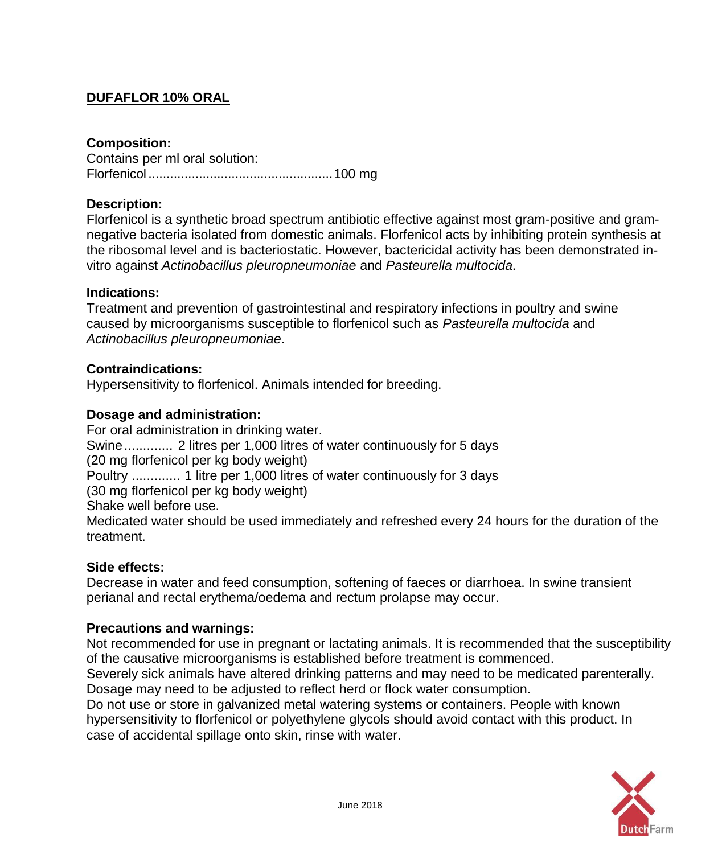# **DUFAFLOR 10% ORAL**

### **Composition:**

Contains per ml oral solution: Florfenicol...................................................100 mg

### **Description:**

Florfenicol is a synthetic broad spectrum antibiotic effective against most gram-positive and gramnegative bacteria isolated from domestic animals. Florfenicol acts by inhibiting protein synthesis at the ribosomal level and is bacteriostatic. However, bactericidal activity has been demonstrated invitro against *Actinobacillus pleuropneumoniae* and *Pasteurella multocida*.

#### **Indications:**

Treatment and prevention of gastrointestinal and respiratory infections in poultry and swine caused by microorganisms susceptible to florfenicol such as *Pasteurella multocida* and *Actinobacillus pleuropneumoniae*.

#### **Contraindications:**

Hypersensitivity to florfenicol. Animals intended for breeding.

#### **Dosage and administration:**

For oral administration in drinking water. Swine............. 2 litres per 1,000 litres of water continuously for 5 days (20 mg florfenicol per kg body weight) Poultry ............. 1 litre per 1,000 litres of water continuously for 3 days (30 mg florfenicol per kg body weight) Shake well before use. Medicated water should be used immediately and refreshed every 24 hours for the duration of the treatment.

#### **Side effects:**

Decrease in water and feed consumption, softening of faeces or diarrhoea. In swine transient perianal and rectal erythema/oedema and rectum prolapse may occur.

### **Precautions and warnings:**

Not recommended for use in pregnant or lactating animals. It is recommended that the susceptibility of the causative microorganisms is established before treatment is commenced.

Severely sick animals have altered drinking patterns and may need to be medicated parenterally. Dosage may need to be adjusted to reflect herd or flock water consumption.

Do not use or store in galvanized metal watering systems or containers. People with known hypersensitivity to florfenicol or polyethylene glycols should avoid contact with this product. In case of accidental spillage onto skin, rinse with water.